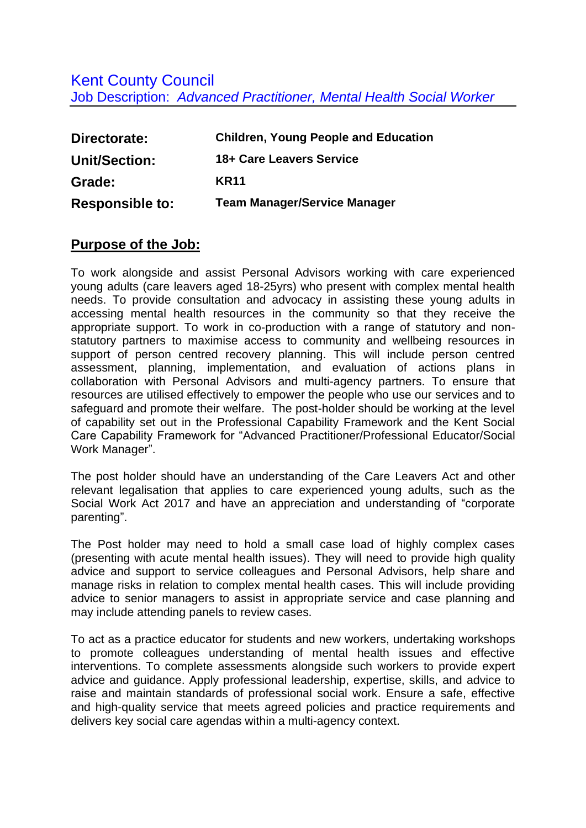## Kent County Council Job Description: *Advanced Practitioner, Mental Health Social Worker*

| Directorate:           | <b>Children, Young People and Education</b> |
|------------------------|---------------------------------------------|
| <b>Unit/Section:</b>   | 18+ Care Leavers Service                    |
| Grade:                 | <b>KR11</b>                                 |
| <b>Responsible to:</b> | <b>Team Manager/Service Manager</b>         |

## **Purpose of the Job:**

To work alongside and assist Personal Advisors working with care experienced young adults (care leavers aged 18-25yrs) who present with complex mental health needs. To provide consultation and advocacy in assisting these young adults in accessing mental health resources in the community so that they receive the appropriate support. To work in co-production with a range of statutory and nonstatutory partners to maximise access to community and wellbeing resources in support of person centred recovery planning. This will include person centred assessment, planning, implementation, and evaluation of actions plans in collaboration with Personal Advisors and multi-agency partners. To ensure that resources are utilised effectively to empower the people who use our services and to safeguard and promote their welfare. The post-holder should be working at the level of capability set out in the Professional Capability Framework and the Kent Social Care Capability Framework for "Advanced Practitioner/Professional Educator/Social Work Manager".

The post holder should have an understanding of the Care Leavers Act and other relevant legalisation that applies to care experienced young adults, such as the Social Work Act 2017 and have an appreciation and understanding of "corporate parenting".

The Post holder may need to hold a small case load of highly complex cases (presenting with acute mental health issues). They will need to provide high quality advice and support to service colleagues and Personal Advisors, help share and manage risks in relation to complex mental health cases. This will include providing advice to senior managers to assist in appropriate service and case planning and may include attending panels to review cases.

To act as a practice educator for students and new workers, undertaking workshops to promote colleagues understanding of mental health issues and effective interventions. To complete assessments alongside such workers to provide expert advice and guidance. Apply professional leadership, expertise, skills, and advice to raise and maintain standards of professional social work. Ensure a safe, effective and high-quality service that meets agreed policies and practice requirements and delivers key social care agendas within a multi-agency context.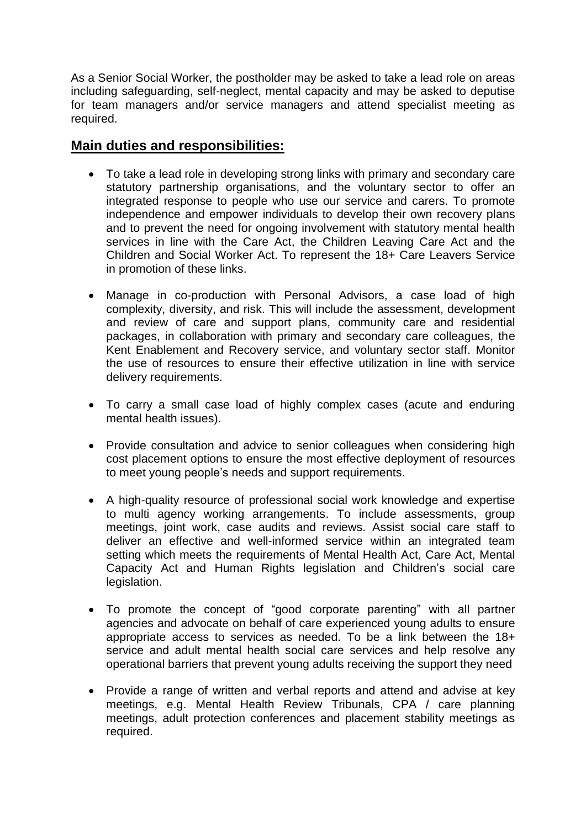As a Senior Social Worker, the postholder may be asked to take a lead role on areas including safeguarding, self-neglect, mental capacity and may be asked to deputise for team managers and/or service managers and attend specialist meeting as required.

## **Main duties and responsibilities:**

- To take a lead role in developing strong links with primary and secondary care statutory partnership organisations, and the voluntary sector to offer an integrated response to people who use our service and carers. To promote independence and empower individuals to develop their own recovery plans and to prevent the need for ongoing involvement with statutory mental health services in line with the Care Act, the Children Leaving Care Act and the Children and Social Worker Act. To represent the 18+ Care Leavers Service in promotion of these links.
- Manage in co-production with Personal Advisors, a case load of high complexity, diversity, and risk. This will include the assessment, development and review of care and support plans, community care and residential packages, in collaboration with primary and secondary care colleagues, the Kent Enablement and Recovery service, and voluntary sector staff. Monitor the use of resources to ensure their effective utilization in line with service delivery requirements.
- To carry a small case load of highly complex cases (acute and enduring mental health issues).
- Provide consultation and advice to senior colleagues when considering high cost placement options to ensure the most effective deployment of resources to meet young people's needs and support requirements.
- A high-quality resource of professional social work knowledge and expertise to multi agency working arrangements. To include assessments, group meetings, joint work, case audits and reviews. Assist social care staff to deliver an effective and well-informed service within an integrated team setting which meets the requirements of Mental Health Act, Care Act, Mental Capacity Act and Human Rights legislation and Children's social care legislation.
- To promote the concept of "good corporate parenting" with all partner agencies and advocate on behalf of care experienced young adults to ensure appropriate access to services as needed. To be a link between the 18+ service and adult mental health social care services and help resolve any operational barriers that prevent young adults receiving the support they need
- Provide a range of written and verbal reports and attend and advise at key meetings, e.g. Mental Health Review Tribunals, CPA / care planning meetings, adult protection conferences and placement stability meetings as required.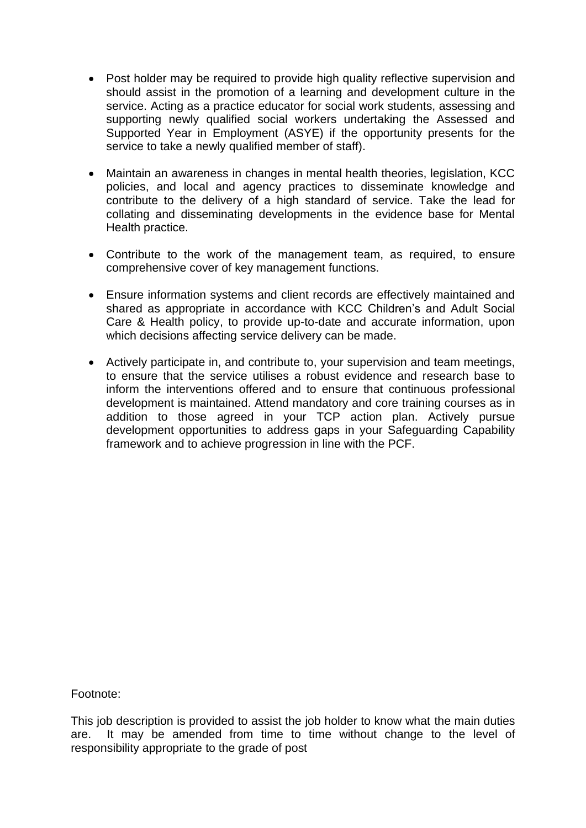- Post holder may be required to provide high quality reflective supervision and should assist in the promotion of a learning and development culture in the service. Acting as a practice educator for social work students, assessing and supporting newly qualified social workers undertaking the Assessed and Supported Year in Employment (ASYE) if the opportunity presents for the service to take a newly qualified member of staff).
- Maintain an awareness in changes in mental health theories, legislation, KCC policies, and local and agency practices to disseminate knowledge and contribute to the delivery of a high standard of service. Take the lead for collating and disseminating developments in the evidence base for Mental Health practice.
- Contribute to the work of the management team, as required, to ensure comprehensive cover of key management functions.
- Ensure information systems and client records are effectively maintained and shared as appropriate in accordance with KCC Children's and Adult Social Care & Health policy, to provide up-to-date and accurate information, upon which decisions affecting service delivery can be made.
- Actively participate in, and contribute to, your supervision and team meetings, to ensure that the service utilises a robust evidence and research base to inform the interventions offered and to ensure that continuous professional development is maintained. Attend mandatory and core training courses as in addition to those agreed in your TCP action plan. Actively pursue development opportunities to address gaps in your Safeguarding Capability framework and to achieve progression in line with the PCF.

Footnote:

This job description is provided to assist the job holder to know what the main duties are. It may be amended from time to time without change to the level of responsibility appropriate to the grade of post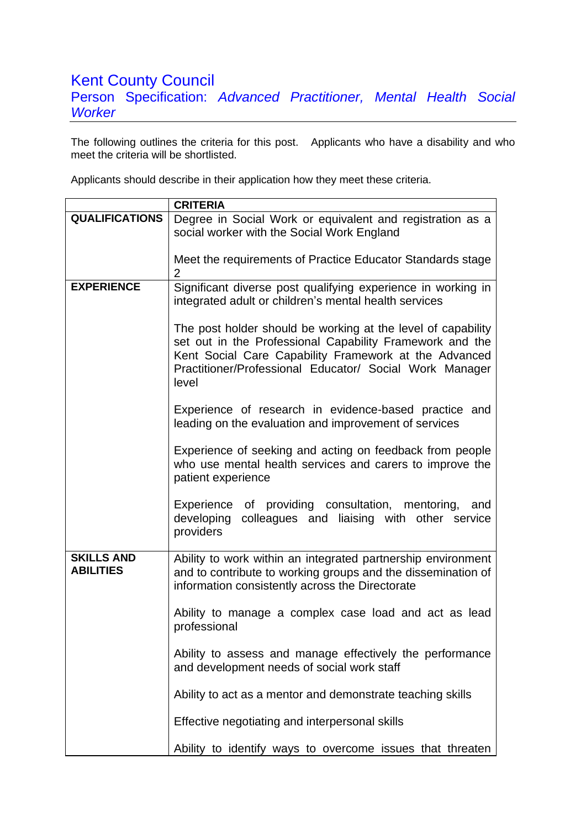## Kent County Council Person Specification: *Advanced Practitioner, Mental Health Social Worker*

The following outlines the criteria for this post. Applicants who have a disability and who meet the criteria will be shortlisted.

Applicants should describe in their application how they meet these criteria.

|                                       | <b>CRITERIA</b>                                                                                                                                                                                                                                       |
|---------------------------------------|-------------------------------------------------------------------------------------------------------------------------------------------------------------------------------------------------------------------------------------------------------|
| <b>QUALIFICATIONS</b>                 | Degree in Social Work or equivalent and registration as a                                                                                                                                                                                             |
|                                       | social worker with the Social Work England                                                                                                                                                                                                            |
|                                       | Meet the requirements of Practice Educator Standards stage<br>$\overline{2}$                                                                                                                                                                          |
| <b>EXPERIENCE</b>                     | Significant diverse post qualifying experience in working in<br>integrated adult or children's mental health services                                                                                                                                 |
|                                       | The post holder should be working at the level of capability<br>set out in the Professional Capability Framework and the<br>Kent Social Care Capability Framework at the Advanced<br>Practitioner/Professional Educator/ Social Work Manager<br>level |
|                                       | Experience of research in evidence-based practice and<br>leading on the evaluation and improvement of services                                                                                                                                        |
|                                       | Experience of seeking and acting on feedback from people<br>who use mental health services and carers to improve the<br>patient experience                                                                                                            |
|                                       | Experience<br>of providing consultation, mentoring,<br>and<br>colleagues and liaising with other service<br>developing<br>providers                                                                                                                   |
| <b>SKILLS AND</b><br><b>ABILITIES</b> | Ability to work within an integrated partnership environment<br>and to contribute to working groups and the dissemination of<br>information consistently across the Directorate                                                                       |
|                                       | Ability to manage a complex case load and act as lead<br>professional                                                                                                                                                                                 |
|                                       | Ability to assess and manage effectively the performance<br>and development needs of social work staff                                                                                                                                                |
|                                       | Ability to act as a mentor and demonstrate teaching skills                                                                                                                                                                                            |
|                                       | Effective negotiating and interpersonal skills                                                                                                                                                                                                        |
|                                       | Ability to identify ways to overcome issues that threaten                                                                                                                                                                                             |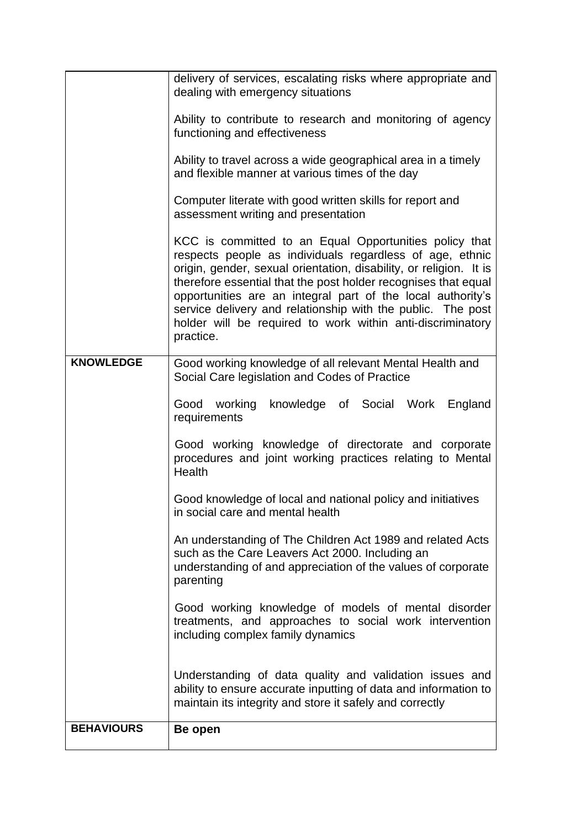|                   | delivery of services, escalating risks where appropriate and<br>dealing with emergency situations                                                                                                                                                                                                                                                                                                                                                                   |
|-------------------|---------------------------------------------------------------------------------------------------------------------------------------------------------------------------------------------------------------------------------------------------------------------------------------------------------------------------------------------------------------------------------------------------------------------------------------------------------------------|
|                   | Ability to contribute to research and monitoring of agency<br>functioning and effectiveness                                                                                                                                                                                                                                                                                                                                                                         |
|                   | Ability to travel across a wide geographical area in a timely<br>and flexible manner at various times of the day                                                                                                                                                                                                                                                                                                                                                    |
|                   | Computer literate with good written skills for report and<br>assessment writing and presentation                                                                                                                                                                                                                                                                                                                                                                    |
|                   | KCC is committed to an Equal Opportunities policy that<br>respects people as individuals regardless of age, ethnic<br>origin, gender, sexual orientation, disability, or religion. It is<br>therefore essential that the post holder recognises that equal<br>opportunities are an integral part of the local authority's<br>service delivery and relationship with the public. The post<br>holder will be required to work within anti-discriminatory<br>practice. |
| <b>KNOWLEDGE</b>  | Good working knowledge of all relevant Mental Health and<br>Social Care legislation and Codes of Practice                                                                                                                                                                                                                                                                                                                                                           |
|                   | Good working knowledge of Social Work England<br>requirements                                                                                                                                                                                                                                                                                                                                                                                                       |
|                   | Good working knowledge of directorate and corporate<br>procedures and joint working practices relating to Mental<br>Health                                                                                                                                                                                                                                                                                                                                          |
|                   | Good knowledge of local and national policy and initiatives<br>in social care and mental health                                                                                                                                                                                                                                                                                                                                                                     |
|                   | An understanding of The Children Act 1989 and related Acts<br>such as the Care Leavers Act 2000. Including an<br>understanding of and appreciation of the values of corporate<br>parenting                                                                                                                                                                                                                                                                          |
|                   | Good working knowledge of models of mental disorder<br>treatments, and approaches to social work intervention<br>including complex family dynamics                                                                                                                                                                                                                                                                                                                  |
|                   | Understanding of data quality and validation issues and<br>ability to ensure accurate inputting of data and information to<br>maintain its integrity and store it safely and correctly                                                                                                                                                                                                                                                                              |
| <b>BEHAVIOURS</b> | Be open                                                                                                                                                                                                                                                                                                                                                                                                                                                             |